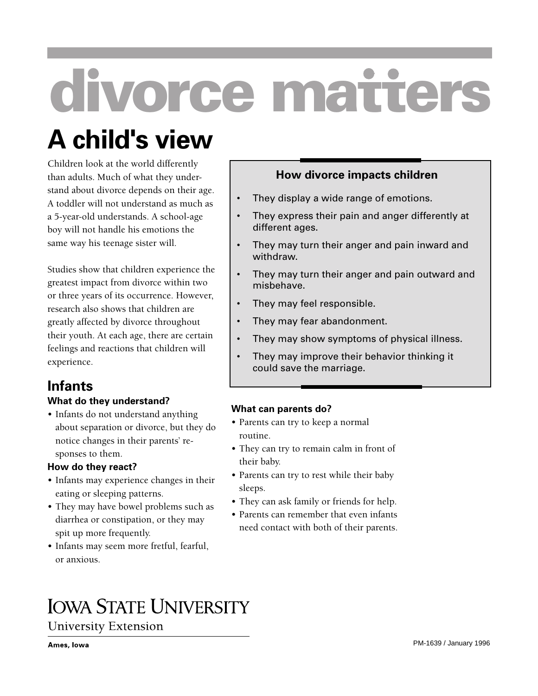# **divorce matters**

## **A child's view**

Children look at the world differently than adults. Much of what they understand about divorce depends on their age. A toddler will not understand as much as a 5-year-old understands. A school-age boy will not handle his emotions the same way his teenage sister will.

Studies show that children experience the greatest impact from divorce within two or three years of its occurrence. However, research also shows that children are greatly affected by divorce throughout their youth. At each age, there are certain feelings and reactions that children will experience.

#### **Infants What do they understand?**

• Infants do not understand anything about separation or divorce, but they do notice changes in their parents' responses to them.

#### **How do they react?**

- Infants may experience changes in their eating or sleeping patterns.
- They may have bowel problems such as diarrhea or constipation, or they may spit up more frequently.
- Infants may seem more fretful, fearful, or anxious.

#### **How divorce impacts children**

- They display a wide range of emotions.
- They express their pain and anger differently at different ages.
- They may turn their anger and pain inward and withdraw.
- They may turn their anger and pain outward and misbehave.
- They may feel responsible.
- They may fear abandonment.
- They may show symptoms of physical illness.
- They may improve their behavior thinking it could save the marriage.

#### **What can parents do?**

- Parents can try to keep a normal routine.
- They can try to remain calm in front of their baby.
- Parents can try to rest while their baby sleeps.
- They can ask family or friends for help.
- Parents can remember that even infants need contact with both of their parents.

### **IOWA STATE UNIVERSITY**

**University Extension**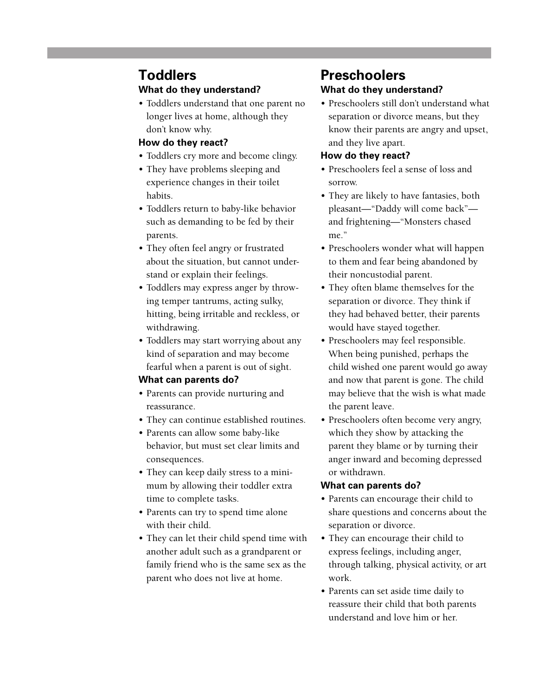#### **Toddlers What do they understand?**

• Toddlers understand that one parent no longer lives at home, although they don't know why.

#### **How do they react?**

- Toddlers cry more and become clingy.
- They have problems sleeping and experience changes in their toilet habits.
- Toddlers return to baby-like behavior such as demanding to be fed by their parents.
- They often feel angry or frustrated about the situation, but cannot understand or explain their feelings.
- Toddlers may express anger by throwing temper tantrums, acting sulky, hitting, being irritable and reckless, or withdrawing.
- Toddlers may start worrying about any kind of separation and may become fearful when a parent is out of sight.

#### **What can parents do?**

- Parents can provide nurturing and reassurance.
- They can continue established routines.
- Parents can allow some baby-like behavior, but must set clear limits and consequences.
- They can keep daily stress to a minimum by allowing their toddler extra time to complete tasks.
- Parents can try to spend time alone with their child.
- They can let their child spend time with another adult such as a grandparent or family friend who is the same sex as the parent who does not live at home.

#### **Preschoolers What do they understand?**

• Preschoolers still don't understand what separation or divorce means, but they know their parents are angry and upset, and they live apart.

#### **How do they react?**

- Preschoolers feel a sense of loss and sorrow.
- They are likely to have fantasies, both pleasant—"Daddy will come back" and frightening—"Monsters chased me"
- Preschoolers wonder what will happen to them and fear being abandoned by their noncustodial parent.
- They often blame themselves for the separation or divorce. They think if they had behaved better, their parents would have stayed together.
- Preschoolers may feel responsible. When being punished, perhaps the child wished one parent would go away and now that parent is gone. The child may believe that the wish is what made the parent leave.
- Preschoolers often become very angry, which they show by attacking the parent they blame or by turning their anger inward and becoming depressed or withdrawn.

#### **What can parents do?**

- Parents can encourage their child to share questions and concerns about the separation or divorce.
- They can encourage their child to express feelings, including anger, through talking, physical activity, or art work.
- Parents can set aside time daily to reassure their child that both parents understand and love him or her.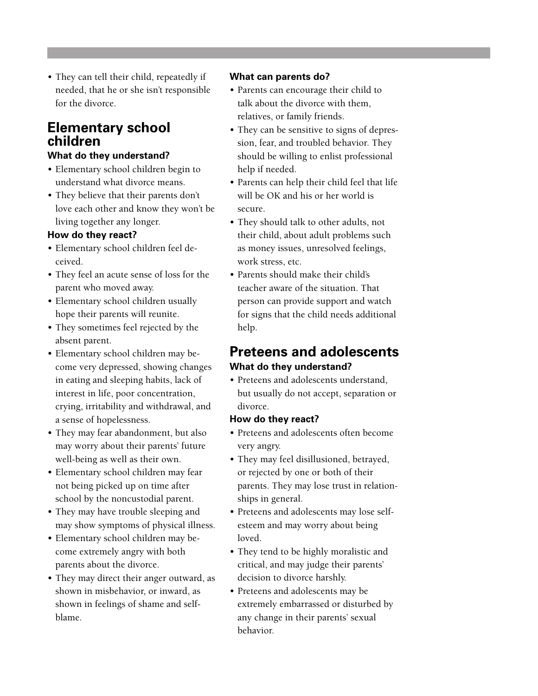• They can tell their child, repeatedly if needed, that he or she isn't responsible for the divorce.

#### **Elementary school children**

#### **What do they understand?**

- Elementary school children begin to understand what divorce means.
- They believe that their parents don't love each other and know they won't be living together any longer.

#### **How do they react?**

- Elementary school children feel deceived.
- They feel an acute sense of loss for the parent who moved away.
- Elementary school children usually hope their parents will reunite.
- They sometimes feel rejected by the absent parent.
- Elementary school children may become very depressed, showing changes in eating and sleeping habits, lack of interest in life, poor concentration, crying, irritability and withdrawal, and a sense of hopelessness.
- They may fear abandonment, but also may worry about their parents' future well-being as well as their own.
- Elementary school children may fear not being picked up on time after school by the noncustodial parent.
- They may have trouble sleeping and may show symptoms of physical illness.
- Elementary school children may become extremely angry with both parents about the divorce.
- They may direct their anger outward, as shown in misbehavior, or inward, as shown in feelings of shame and selfblame.

#### **What can parents do?**

- Parents can encourage their child to talk about the divorce with them, relatives, or family friends.
- They can be sensitive to signs of depression, fear, and troubled behavior. They should be willing to enlist professional help if needed.
- Parents can help their child feel that life will be OK and his or her world is secure.
- They should talk to other adults, not their child, about adult problems such as money issues, unresolved feelings, work stress, etc.
- Parents should make their child's teacher aware of the situation. That person can provide support and watch for signs that the child needs additional help.

#### **Preteens and adolescents What do they understand?**

• Preteens and adolescents understand, but usually do not accept, separation or divorce.

#### **How do they react?**

- Preteens and adolescents often become very angry.
- They may feel disillusioned, betrayed, or rejected by one or both of their parents. They may lose trust in relationships in general.
- Preteens and adolescents may lose selfesteem and may worry about being loved.
- They tend to be highly moralistic and critical, and may judge their parents' decision to divorce harshly.
- Preteens and adolescents may be extremely embarrassed or disturbed by any change in their parents' sexual behavior.